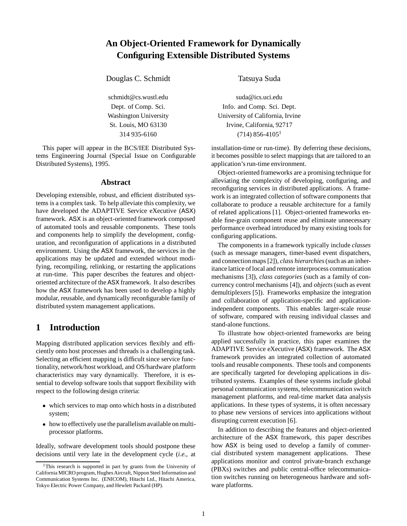# **An Object-Oriented Framework for Dynamically Configuring Extensible Distributed Systems**

Douglas C. Schmidt Tatsuya Suda

This paper will appear in the BCS/IEE Distributed Systems Engineering Journal (Special Issue on Configurable Distributed Systems), 1995.

#### **Abstract**

Developing extensible, robust, and efficient distributed systems is a complex task. To help alleviate this complexity, we have developed the ADAPTIVE Service eXecutive (ASX) framework. ASX is an object-oriented framework composed of automated tools and reusable components. These tools and components help to simplify the development, configuration, and reconfiguration of applications in a distributed environment. Using the ASX framework, the services in the applications may be updated and extended without modifying, recompiling, relinking, or restarting the applications at run-time. This paper describes the features and objectoriented architecture of the ASX framework. It also describes how the ASX framework has been used to develop a highly modular, reusable, and dynamically reconfigurable family of distributed system management applications.

## **1 Introduction**

Mapping distributed application services flexibly and efficiently onto host processes and threads is a challenging task. Selecting an efficient mapping is difficult since service functionality, network/host workload, and OS/hardware platform characteristics may vary dynamically. Therefore, it is essential to develop software tools that support flexibility with respect to the following design criteria:

- which services to map onto which hosts in a distributed system;
- how to effectively use the parallelism available on multiprocessor platforms.

Ideally, software development tools should postpone these decisions until very late in the development cycle (*i.e.,* at

schmidt@cs.wustl.edu suda@ics.uci.edu Dept. of Comp. Sci. **Info. and Comp. Sci. Dept.** Washington University University of California, Irvine St. Louis, MO 63130 Irvine, California, 92717 314 935-6160 (714) 856-4105<sup>1</sup>

> installation-time or run-time). By deferring these decisions, it becomes possible to select mappings that are tailored to an application's run-time environment.

> Object-oriented frameworks are a promising technique for alleviating the complexity of developing, configuring, and reconfiguring services in distributed applications. A framework is an integrated collection of software components that collaborate to produce a reusable architecture for a family of related applications [1]. Object-oriented frameworks enable fine-grain component reuse and eliminate unnecessary performance overhead introduced by many existing tools for configuring applications.

> The components in a framework typically include *classes* (such as message managers, timer-based event dispatchers, and connection maps [2]), *class hierarchies*(such as an inheritance lattice of local and remote interprocess communication mechanisms [3]), *class categories* (such as a family of concurrency control mechanisms [4]), and *objects*(such as event demultiplexers [5]). Frameworks emphasize the integration and collaboration of application-specific and applicationindependent components. This enables larger-scale reuse of software, compared with reusing individual classes and stand-alone functions.

> To illustrate how object-oriented frameworks are being applied successfully in practice, this paper examines the ADAPTIVE Service eXecutive (ASX) framework. The ASX framework provides an integrated collection of automated tools and reusable components. These tools and components are specifically targeted for developing applications in distributed systems. Examples of these systems include global personal communication systems, telecommunication switch management platforms, and real-time market data analysis applications. In these types of systems, it is often necessary to phase new versions of services into applications without disrupting current execution [6].

> In addition to describing the features and object-oriented architecture of the ASX framework, this paper describes how ASX is being used to develop a family of commercial distributed system management applications. These applications monitor and control private-branch exchange (PBXs) switches and public central-office telecommunication switches running on heterogeneous hardware and software platforms.

<sup>&</sup>lt;sup>1</sup>This research is supported in part by grants from the University of California MICRO program, Hughes Aircraft, Nippon Steel Information and Communication Systems Inc. (ENICOM), Hitachi Ltd., Hitachi America, Tokyo Electric Power Company, and Hewlett Packard (HP).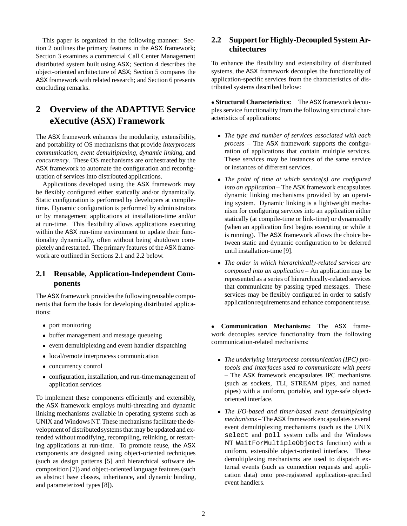This paper is organized in the following manner: Section 2 outlines the primary features in the ASX framework; Section 3 examines a commercial Call Center Management distributed system built using ASX; Section 4 describes the object-oriented architecture of ASX; Section 5 compares the ASX framework with related research; and Section 6 presents concluding remarks.

# **2 Overview of the ADAPTIVE Service eXecutive (ASX) Framework**

The ASX framework enhances the modularity, extensibility, and portability of OS mechanisms that provide *interprocess communication*, *event demultiplexing*, *dynamic linking*, and *concurrency*. These OS mechanisms are orchestrated by the ASX framework to automate the configuration and reconfiguration of services into distributed applications.

Applications developed using the ASX framework may be flexibly configured either statically and/or dynamically. Static configuration is performed by developers at compiletime. Dynamic configuration is performed by administrators or by management applications at installation-time and/or at run-time. This flexibility allows applications executing within the ASX run-time environment to update their functionality dynamically, often without being shutdown completely and restarted. The primary features of the ASX framework are outlined in Sections 2.1 and 2.2 below.

## **2.1 Reusable, Application-Independent Components**

The ASX framework provides the following reusable components that form the basis for developing distributed applications:

- port monitoring
- buffer management and message queueing
- event demultiplexing and event handler dispatching
- local/remote interprocess communication
- concurrency control
- configuration, installation, and run-time management of application services

To implement these components efficiently and extensibly, the ASX framework employs multi-threading and dynamic linking mechanisms available in operating systems such as UNIX and Windows NT. These mechanisms facilitate the development of distributed systems that may be updated and extended without modifying, recompiling, relinking, or restarting applications at run-time. To promote reuse, the ASX components are designed using object-oriented techniques (such as design patterns [5] and hierarchical software decomposition [7]) and object-oriented language features (such as abstract base classes, inheritance, and dynamic binding, and parameterized types [8]).

## **2.2 Support for Highly-Decoupled System Architectures**

To enhance the flexibility and extensibility of distributed systems, the ASX framework decouples the functionality of application-specific services from the characteristics of distributed systems described below:

 **Structural Characteristics:** The ASX framework decouples service functionality from the following structural characteristics of applications:

- *The type and number of services associated with each process* – The ASX framework supports the configuration of applications that contain multiple services. These services may be instances of the same service or instances of different services.
- *The point of time at which service(s) are configured into an application* – The ASX framework encapsulates dynamic linking mechanisms provided by an operating system. Dynamic linking is a lightweight mechanism for configuring services into an application either statically (at compile-time or link-time) or dynamically (when an application first begins executing or while it is running). The ASX framework allows the choice between static and dynamic configuration to be deferred until installation-time [9].
- *The order in which hierarchically-related services are composed into an application* – An application may be represented as a series of hierarchically-related services that communicate by passing typed messages. These services may be flexibly configured in order to satisfy application requirements and enhance component reuse.

 **Communication Mechanisms:** The ASX framework decouples service functionality from the following communication-related mechanisms:

- *The underlying interprocess communication (IPC) protocols and interfaces used to communicate with peers* – The ASX framework encapsulates IPC mechanisms (such as sockets, TLI, STREAM pipes, and named pipes) with a uniform, portable, and type-safe objectoriented interface.
- *The I/O-based and timer-based event demultiplexing mechanisms* – The ASX framework encapsulates several event demultiplexing mechanisms (such as the UNIX select and poll system calls and the Windows NT WaitForMultipleObjects function) with a uniform, extensible object-oriented interface. These demultiplexing mechanisms are used to dispatch external events (such as connection requests and application data) onto pre-registered application-specified event handlers.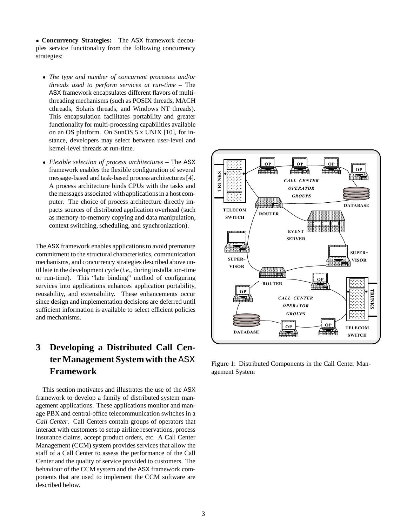**Concurrency Strategies:** The ASX framework decouples service functionality from the following concurrency strategies:

- *The type and number of concurrent processes and/or threads used to perform services at run-time* – The ASX framework encapsulates different flavors of multithreading mechanisms (such as POSIX threads, MACH cthreads, Solaris threads, and Windows NT threads). This encapsulation facilitates portability and greater functionality for multi-processing capabilities available on an OS platform. On SunOS 5.x UNIX [10], for instance, developers may select between user-level and kernel-level threads at run-time.
- *Flexible selection of process architectures* The ASX framework enables the flexible configuration of several message-based and task-based process architectures [4]. A process architecture binds CPUs with the tasks and the messages associated with applications in a host computer. The choice of process architecture directly impacts sources of distributed application overhead (such as memory-to-memory copying and data manipulation, context switching, scheduling, and synchronization).

The ASX framework enables applications to avoid premature commitment to the structural characteristics, communication mechanisms, and concurrency strategies described above until late in the development cycle (*i.e.,* during installation-time or run-time). This "late binding" method of configuring services into applications enhances application portability, reusability, and extensibility. These enhancements occur since design and implementation decisions are deferred until sufficient information is available to select efficient policies and mechanisms.

# **3 Developing a Distributed Call Center Management System with the** ASX **Framework**

This section motivates and illustrates the use of the ASX framework to develop a family of distributed system management applications. These applications monitor and manage PBX and central-office telecommunication switches in a *Call Center*. Call Centers contain groups of operators that interact with customers to setup airline reservations, process insurance claims, accept product orders, etc. A Call Center Management (CCM) system provides services that allow the staff of a Call Center to assess the performance of the Call Center and the quality of service provided to customers. The behaviour of the CCM system and the ASX framework components that are used to implement the CCM software are described below.



Figure 1: Distributed Components in the Call Center Management System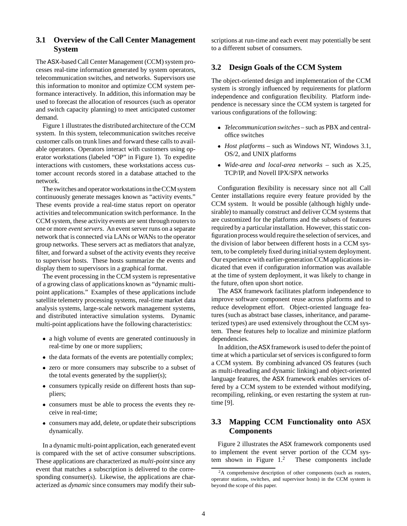### **3.1 Overview of the Call Center Management System**

The ASX-based Call Center Management (CCM) system processes real-time information generated by system operators, telecommunication switches, and networks. Supervisors use this information to monitor and optimize CCM system performance interactively. In addition, this information may be used to forecast the allocation of resources (such as operator and switch capacity planning) to meet anticipated customer demand.

Figure 1 illustrates the distributed architecture of the CCM system. In this system, telecommunication switches receive customer calls on trunk lines and forward these calls to available operators. Operators interact with customers using operator workstations (labeled "OP" in Figure 1). To expedite interactions with customers, these workstations access customer account records stored in a database attached to the network.

The switches and operator workstations in the CCM system continuously generate messages known as "activity events." These events provide a real-time status report on operator activities and telecommunication switch performance. In the CCM system, these activity events are sent through routers to one or more *event servers*. An event server runs on a separate network that is connected via LANs or WANs to the operator group networks. These servers act as mediators that analyze, filter, and forward a subset of the activity events they receive to supervisor hosts. These hosts summarize the events and display them to supervisors in a graphical format.

The event processing in the CCM system is representative of a growing class of applications known as "dynamic multipoint applications." Examples of these applications include satellite telemetry processing systems, real-time market data analysis systems, large-scale network management systems, and distributed interactive simulation systems. Dynamic multi-point applications have the following characteristics:

- a high volume of events are generated continuously in real-time by one or more suppliers;
- the data formats of the events are potentially complex;
- zero or more consumers may subscribe to a subset of the total events generated by the supplier(s);
- consumers typically reside on different hosts than suppliers;
- consumers must be able to process the events they receive in real-time;
- consumers may add, delete, or update their subscriptions dynamically.

In a dynamic multi-point application, each generated event is compared with the set of active consumer subscriptions. These applications are characterized as *multi-point*since any event that matches a subscription is delivered to the corresponding consumer(s). Likewise, the applications are characterized as *dynamic* since consumers may modify their subscriptions at run-time and each event may potentially be sent to a different subset of consumers.

### **3.2 Design Goals of the CCM System**

The object-oriented design and implementation of the CCM system is strongly influenced by requirements for platform independence and configuration flexibility. Platform independence is necessary since the CCM system is targeted for various configurations of the following:

- *Telecommunication switches* such as PBX and centraloffice switches
- *Host platforms* such as Windows NT, Windows 3.1, OS/2, and UNIX platforms
- *Wide-area and local-area networks* such as X.25, TCP/IP, and Novell IPX/SPX networks

Configuration flexibility is necessary since not all Call Center installations require every feature provided by the CCM system. It would be possible (although highly undesirable) to manually construct and deliver CCM systems that are customized for the platforms and the subsets of features required by a particular installation. However, this static configuration process would require the selection of services, and the division of labor between different hosts in a CCM system, to be completely fixed during initial system deployment. Our experience with earlier-generation CCM applications indicated that even if configuration information was available at the time of system deployment, it was likely to change in the future, often upon short notice.

The ASX framework facilitates platform independence to improve software component reuse across platforms and to reduce development effort. Object-oriented language features (such as abstract base classes, inheritance, and parameterized types) are used extensively throughout the CCM system. These features help to localize and minimize platform dependencies.

In addition, the ASX framework is used to defer the point of time at which a particular set of services is configured to form a CCM system. By combining advanced OS features (such as multi-threading and dynamic linking) and object-oriented language features, the ASX framework enables services offered by a CCM system to be extended without modifying, recompiling, relinking, or even restarting the system at runtime [9].

## **3.3 Mapping CCM Functionality onto** ASX **Components**

Figure 2 illustrates the ASX framework components used to implement the event server portion of the CCM system shown in Figure  $1<sup>2</sup>$  These components include

<sup>2</sup>A comprehensive description of other components (such as routers, operator stations, switches, and supervisor hosts) in the CCM system is beyond the scope of this paper.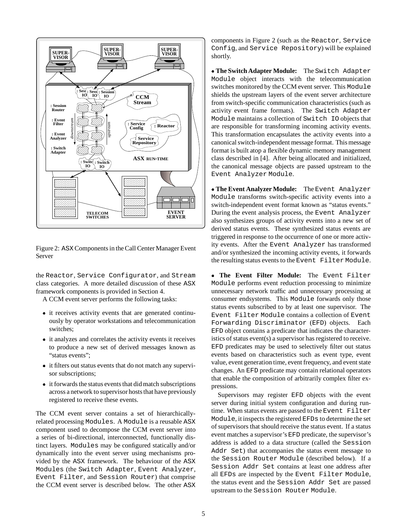

Figure 2: ASX Components in the Call Center Manager Event Server

the Reactor, Service Configurator, and Stream class categories. A more detailed discussion of these ASX framework components is provided in Section 4.

A CCM event server performs the following tasks:

- it receives activity events that are generated continuously by operator workstations and telecommunication switches;
- it analyzes and correlates the activity events it receives to produce a new set of derived messages known as "status events";
- it filters out status events that do not match any supervisor subscriptions;
- it forwards the status events that did match subscriptions across a network to supervisor hosts that have previously registered to receive these events.

The CCM event server contains a set of hierarchicallyrelated processing Modules. A Module is a reusable ASX component used to decompose the CCM event server into a series of bi-directional, interconnected, functionally distinct layers. Modules may be configured statically and/or dynamically into the event server using mechanisms provided by the ASX framework. The behaviour of the ASX Modules (the Switch Adapter, Event Analyzer, Event Filter, and Session Router) that comprise the CCM event server is described below. The other ASX components in Figure 2 (such as the Reactor, Service Config, and Service Repository) will be explained shortly.

 **The Switch Adapter Module:** The Switch Adapter Module object interacts with the telecommunication switches monitored by the CCM event server. This Module shields the upstream layers of the event server architecture from switch-specific communication characteristics (such as activity event frame formats). The Switch Adapter Module maintains a collection of Switch IO objects that are responsible for transforming incoming activity events. This transformation encapsulates the activity events into a canonical switch-independent message format. This message format is built atop a flexible dynamic memory management class described in [4]. After being allocated and initialized, the canonical message objects are passed upstream to the Event Analyzer Module.

 **The Event Analyzer Module:** The Event Analyzer Module transforms switch-specific activity events into a switch-independent event format known as "status events." During the event analysis process, the Event Analyzer also synthesizes groups of activity events into a new set of derived status events. These synthesized status events are triggered in response to the occurrence of one or more activity events. After the Event Analyzer has transformed and/or synthesized the incoming activity events, it forwards the resulting status events to the Event Filter Module.

 **The Event Filter Module:** The Event Filter Module performs event reduction processing to minimize unnecessary network traffic and unnecessary processing at consumer endsystems. This Module forwards only those status events subscribed to by at least one supervisor. The Event Filter Module contains a collection of Event Forwarding Discriminator (EFD) objects. Each EFD object contains a predicate that indicates the characteristics of status event(s) a supervisor has registered to receive. EFD predicates may be used to selectively filter out status events based on characteristics such as event type, event value, event generation time, event frequency, and event state changes. An EFD predicate may contain relational operators that enable the composition of arbitrarily complex filter expressions.

Supervisors may register EFD objects with the event server during initial system configuration and during runtime. When status events are passed to the Event Filter Module, it inspects the registered EFDs to determine the set of supervisors that should receive the status event. If a status event matches a supervisor's EFD predicate, the supervisor's address is added to a data structure (called the Session Addr Set) that accompanies the status event message to the Session Router Module (described below). If a Session Addr Set contains at least one address after all EFDs are inspected by the Event Filter Module, the status event and the Session Addr Set are passed upstream to the Session Router Module.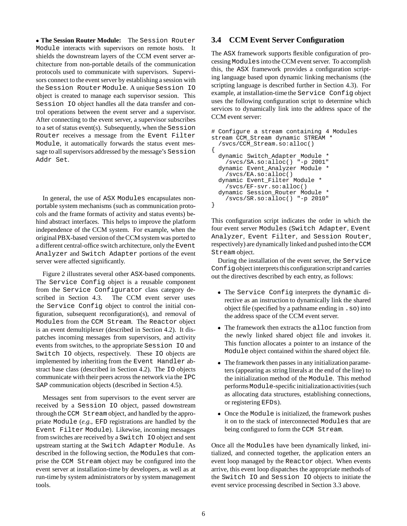**The Session Router Module:** The Session Router Module interacts with supervisors on remote hosts. It shields the downstream layers of the CCM event server architecture from non-portable details of the communication protocols used to communicate with supervisors. Supervisors connect to the event server by establishing a session with the Session Router Module. A unique Session IO object is created to manage each supervisor session. This Session IO object handles all the data transfer and control operations between the event server and a supervisor. After connecting to the event server, a supervisor subscribes to a set of status event(s). Subsequently, when the Session Router receives a message from the Event Filter Module, it automatically forwards the status event message to all supervisors addressed by the message's Session Addr Set.

In general, the use of ASX Modules encapsulates nonportable system mechanisms (such as communication protocols and the frame formats of activity and status events) behind abstract interfaces. This helps to improve the platform independence of the CCM system. For example, when the original PBX-based version of the CCM system was ported to a different central-office switch architecture, only the Event Analyzer and Switch Adapter portions of the event server were affected significantly.

Figure 2 illustrates several other ASX-based components. The Service Config object is a reusable component from the Service Configurator class category described in Section 4.3. The CCM event server uses the Service Config object to control the initial configuration, subsequent reconfiguration(s), and removal of Modules from the CCM Stream. The Reactor object is an event demultiplexer (described in Section 4.2). It dispatches incoming messages from supervisors, and activity events from switches, to the appropriate Session IO and Switch IO objects, respectively. These IO objects are implemented by inheriting from the Event Handler abstract base class (described in Section 4.2). The IO objects communicate with their peers across the network via the IPC SAP communication objects (described in Section 4.5).

Messages sent from supervisors to the event server are received by a Session IO object, passed downstream through the CCM Stream object, and handled by the appropriate Module (*e.g.,* EFD registrations are handled by the Event Filter Module). Likewise, incoming messages from switches are received by a Switch IO object and sent upstream starting at the Switch Adapter Module. As described in the following section, the Modules that comprise the CCM Stream object may be configured into the event server at installation-time by developers, as well as at run-time by system administrators or by system management tools.

### **3.4 CCM Event Server Configuration**

The ASX framework supports flexible configuration of processing Modules intothe CCM event server. To accomplish this, the ASX framework provides a configuration scripting language based upon dynamic linking mechanisms (the scripting language is described further in Section 4.3). For example, at installation-time the Service Config object uses the following configuration script to determine which services to dynamically link into the address space of the CCM event server:

```
# Configure a stream containing 4 Modules
stream CCM_Stream dynamic STREAM *
  /svcs/CCM_Stream.so:alloc()
{
  dynamic Switch_Adapter Module *
    /svcs/SA.so:alloc() "-p 2001"
  dynamic Event_Analyzer Module *
    /svcs/EA.so:alloc()
  dynamic Event_Filter Module *
    /svcs/EF-svr.so:alloc()
  dynamic Session_Router Module *
    /svcs/SR.so:alloc() "-p 2010"
}
```
This configuration script indicates the order in which the four event server Modules (Switch Adapter, Event Analyzer, Event Filter, and Session Router, respectively) are dynamically linked and pushed into the CCM Stream object.

During the installation of the event server, the Service Conf $i$  q object interprets this configuration script and carries out the directives described by each entry, as follows:

- . The Service Config interprets the dynamic directive as an instruction to dynamically link the shared object file (specified by a pathname ending in .so) into the address space of the CCM event server.
- The framework then extracts the alloc function from the newly linked shared object file and invokes it. This function allocates a pointer to an instance of the Module object contained within the shared object file.
- The framework then passes in any initialization parameters (appearing as string literals at the end of the line) to the initialization method of the Module. This method performsModule-specific initializationactivities (such as allocating data structures, establishing connections, or registering EFDs).
- Once the Module is initialized, the framework pushes it on to the stack of interconnected Modules that are being configured to form the CCM Stream.

Once all the Modules have been dynamically linked, initialized, and connected together, the application enters an event loop managed by the Reactor object. When events arrive, this event loop dispatches the appropriate methods of the Switch IO and Session IO objects to initiate the event service processing described in Section 3.3 above.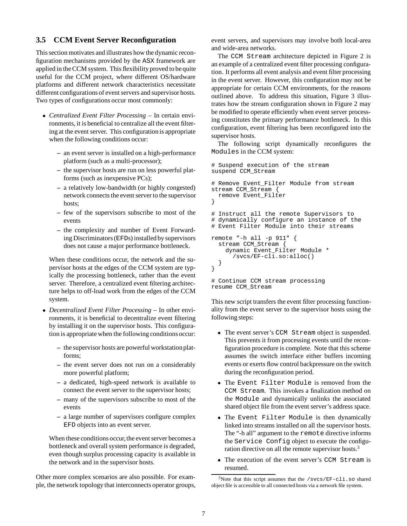### **3.5 CCM Event Server Reconfiguration**

This section motivates and illustrates how the dynamic reconfiguration mechanisms provided by the ASX framework are applied in the CCM system. This flexibility proved to be quite useful for the CCM project, where different OS/hardware platforms and different network characteristics necessitate different configurations of event servers and supervisor hosts. Two types of configurations occur most commonly:

- *Centralized Event Filter Processing* In certain environments, it is beneficial to centralize all the event filtering at the event server. This configuration is appropriate when the following conditions occur:
	- **–** an event server is installed on a high-performance platform (such as a multi-processor);
	- **–** the supervisor hosts are run on less powerful platforms (such as inexpensive PCs);
	- **–** a relatively low-bandwidth (or highly congested) network connects the event server to the supervisor hosts:
	- **–** few of the supervisors subscribe to most of the events
	- **–** the complexity and number of Event Forwarding Discriminators (EFDs) installed by supervisors does not cause a major performance bottleneck.

When these conditions occur, the network and the supervisor hosts at the edges of the CCM system are typically the processing bottleneck, rather than the event server. Therefore, a centralized event filtering architecture helps to off-load work from the edges of the CCM system.

- *Decentralized Event Filter Processing* In other environments, it is beneficial to decentralize event filtering by installing it on the supervisor hosts. This configuration is appropriate when the following conditions occur:
	- **–** the supervisor hosts are powerful workstationplatforms;
	- **–** the event server does not run on a considerably more powerful platform;
	- **–** a dedicated, high-speed network is available to connect the event server to the supervisor hosts;
	- **–** many of the supervisors subscribe to most of the events
	- **–** a large number of supervisors configure complex EFD objects into an event server.

When these conditions occur, the event server becomes a bottleneck and overall system performance is degraded, even though surplus processing capacity is available in the network and in the supervisor hosts.

Other more complex scenarios are also possible. For example, the network topology that interconnects operator groups, event servers, and supervisors may involve both local-area and wide-area networks.

The CCM Stream architecture depicted in Figure 2 is an example of a centralized event filter processing configuration. It performs all event analysis and event filter processing in the event server. However, this configuration may not be appropriate for certain CCM environments, for the reasons outlined above. To address this situation, Figure 3 illustrates how the stream configuration shown in Figure 2 may be modified to operate efficiently when event server processing constitutes the primary performance bottleneck. In this configuration, event filtering has been reconfigured into the supervisor hosts.

The following script dynamically reconfigures the Modules in the CCM system:

```
# Suspend execution of the stream
suspend CCM_Stream
# Remove Event_Filter Module from stream
stream CCM_Stream {
 remove Event_Filter
}
# Instruct all the remote Supervisors to
# dynamically configure an instance of the
# Event Filter Module into their streams
remote "-h all -p 911" {
 stream CCM_Stream {
   dynamic Event_Filter Module *
      /svcs/EF-cli.so:alloc()
 }
}
# Continue CCM stream processing
```
resume CCM\_Stream

This new script transfers the event filter processing functionality from the event server to the supervisor hosts using the following steps:

- The event server's CCM Stream object is suspended. This prevents it from processing events until the reconfiguration procedure is complete. Note that this scheme assumes the switch interface either buffers incoming events or exerts flow control backpressure on the switch during the reconfiguration period.
- The Event Filter Module is removed from the CCM Stream. This invokes a finalization method on the Module and dynamically unlinks the associated shared object file from the event server's address space.
- The Event Filter Module is then dynamically linked into streams installed on all the supervisor hosts. The "-h all" argument to the remote directive informs the Service Config object to execute the configuration directive on all the remote supervisor hosts.<sup>3</sup>
- The execution of the event server's CCM Stream is resumed.

 $3$ Note that this script assumes that the /svcs/EF-cli.so shared object file is accessible to all connected hosts via a network file system.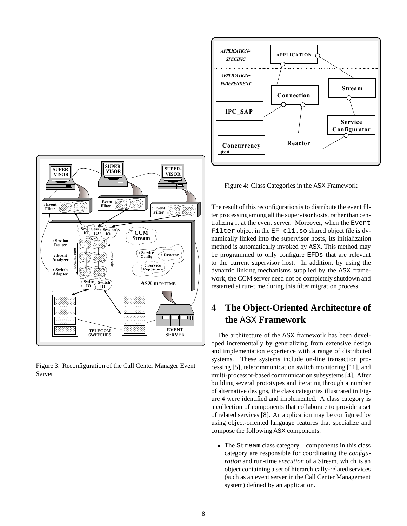



Figure 3: Reconfiguration of the Call Center Manager Event Server

Figure 4: Class Categories in the ASX Framework

The result of this reconfiguration is to distribute the event filter processing among all the supervisor hosts, rather than centralizing it at the event server. Moreover, when the Event Filter object in the EF-cli.so shared object file is dynamically linked into the supervisor hosts, its initialization method is automatically invoked by ASX. This method may be programmed to only configure EFDs that are relevant to the current supervisor host. In addition, by using the dynamic linking mechanisms supplied by the ASX framework, the CCM server need not be completely shutdown and restarted at run-time during this filter migration process.

# **4 The Object-Oriented Architecture of the** ASX **Framework**

The architecture of the ASX framework has been developed incrementally by generalizing from extensive design and implementation experience with a range of distributed systems. These systems include on-line transaction processing [5], telecommunication switch monitoring [11], and multi-processor-based communication subsystems [4]. After building several prototypes and iterating through a number of alternative designs, the class categories illustrated in Figure 4 were identified and implemented. A class category is a collection of components that collaborate to provide a set of related services [8]. An application may be configured by using object-oriented language features that specialize and compose the following ASX components:

 $\bullet$  The Stream class category – components in this class category are responsible for coordinating the *configuration* and run-time *execution* of a Stream, which is an object containing a set of hierarchically-related services (such as an event server in the Call Center Management system) defined by an application.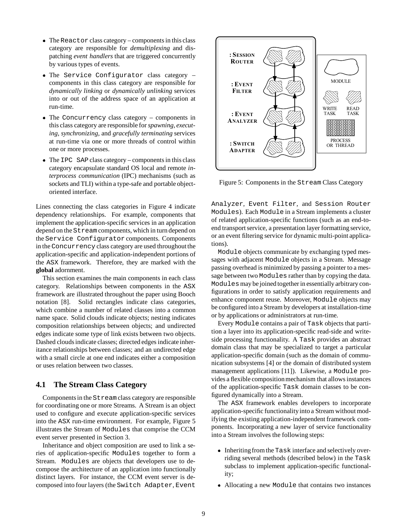- The Reactor class category components in this class category are responsible for *demultiplexing* and dispatching *event handlers* that are triggered concurrently by various types of events.
- $\bullet$  The Service Configurator class category components in this class category are responsible for *dynamically linking* or *dynamically unlinking* services into or out of the address space of an application at run-time.
- The Concurrency class category components in this class category are responsible for*spawning, executing, synchronizing*, and *gracefully terminating* services at run-time via one or more threads of control within one or more processes.
- $\bullet$  The IPC SAP class category components in this class category encapsulate standard OS local and remote *interprocess communication* (IPC) mechanisms (such as sockets and TLI) within a type-safe and portable objectoriented interface.

Lines connecting the class categories in Figure 4 indicate dependency relationships. For example, components that implement the application-specific services in an application depend on the Stream components, which in turn depend on the Service Configurator components. Components in the Concurrency class category are used throughout the application-specific and application-independent portions of the ASX framework. Therefore, they are marked with the **global** adornment.

This section examines the main components in each class category. Relationships between components in the ASX framework are illustrated throughout the paper using Booch notation [8]. Solid rectangles indicate class categories, which combine a number of related classes into a common name space. Solid clouds indicate objects; nesting indicates composition relationships between objects; and undirected edges indicate some type of link exists between two objects. Dashed clouds indicate classes; directed edges indicate inheritance relationships between classes; and an undirected edge with a small circle at one end indicates either a composition or uses relation between two classes.

#### **4.1 The Stream Class Category**

Components in the Stream class category are responsible for coordinating one or more Streams. A Stream is an object used to configure and execute application-specific services into the ASX run-time environment. For example, Figure 5 illustrates the Stream of Modules that comprise the CCM event server presented in Section 3.

Inheritance and object composition are used to link a series of application-specific Modules together to form a Stream. Modules are objects that developers use to decompose the architecture of an application into functionally distinct layers. For instance, the CCM event server is decomposed into four layers (the Switch Adapter, Event



Figure 5: Components in the Stream Class Category

Analyzer, Event Filter, and Session Router Modules). Each Module in a Stream implements a cluster of related application-specific functions (such as an end-toend transport service, a presentation layer formatting service, or an event filtering service for dynamic multi-point applications).

Module objects communicate by exchanging typed messages with adjacent Module objects in a Stream. Message passing overhead is minimized by passing a pointer to a message between two Modules rather than by copying the data. Modules may be joined together in essentially arbitrary configurations in order to satisfy application requirements and enhance component reuse. Moreover, Module objects may be configured into a Stream by developers at installation-time or by applications or administrators at run-time.

Every Module contains a pair of Task objects that partition a layer into its application-specific read-side and writeside processing functionality. A Task provides an abstract domain class that may be specialized to target a particular application-specific domain (such as the domain of communication subsystems [4] or the domain of distributed system management applications [11]). Likewise, a Module provides a flexible composition mechanism that allows instances of the application-specific Task domain classes to be configured dynamically into a Stream.

The ASX framework enables developers to incorporate application-specific functionalityinto a Stream without modifying the existing application-independent framework components. Incorporating a new layer of service functionality into a Stream involves the following steps:

- Inheriting from the Task interface and selectively overriding several methods (described below) in the Task subclass to implement application-specific functionality;
- Allocating a new Module that contains two instances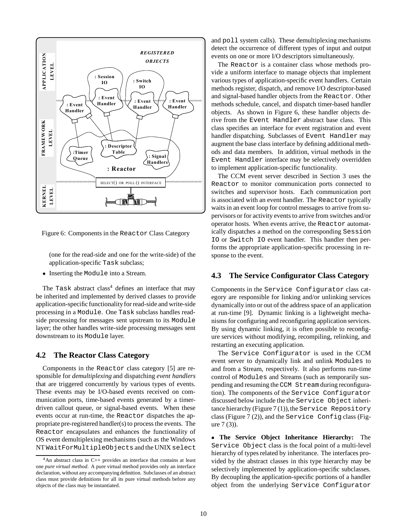

Figure 6: Components in the Reactor Class Category

(one for the read-side and one for the write-side) of the application-specific Task subclass;

• Inserting the Module into a Stream.

The Task abstract class<sup>4</sup> defines an interface that may be inherited and implemented by derived classes to provide application-specific functionalityfor read-side and write-side processing in a Module. One Task subclass handles readside processing for messages sent upstream to its Module layer; the other handles write-side processing messages sent downstream to its Module layer.

#### **4.2 The Reactor Class Category**

Components in the Reactor class category [5] are responsible for *demultiplexing* and dispatching *event handlers* that are triggered concurrently by various types of events. These events may be I/O-based events received on communication ports, time-based events generated by a timerdriven callout queue, or signal-based events. When these events occur at run-time, the Reactor dispatches the appropriate pre-registered handler(s) to process the events. The Reactor encapsulates and enhances the functionality of OS event demultiplexing mechanisms (such as the Windows NT WaitForMultipleObjects and the UNIX select

and poll system calls). These demultiplexing mechanisms detect the occurrence of different types of input and output events on one or more I/O descriptors simultaneously.

The Reactor is a container class whose methods provide a uniform interface to manage objects that implement various types of application-specific event handlers. Certain methods register, dispatch, and remove I/O descriptor-based and signal-based handler objects from the Reactor. Other methods schedule, cancel, and dispatch timer-based handler objects. As shown in Figure 6, these handler objects derive from the Event Handler abstract base class. This class specifies an interface for event registration and event handler dispatching. Subclasses of Event Handler may augment the base class interface by defining additional methods and data members. In addition, virtual methods in the Event Handler interface may be selectively overridden to implement application-specific functionality.

The CCM event server described in Section 3 uses the Reactor to monitor communication ports connected to switches and supervisor hosts. Each communication port is associated with an event handler. The Reactor typically waits in an event loop for control messages to arrive from supervisors or for activity events to arrive from switches and/or operator hosts. When events arrive, the Reactor automatically dispatches a method on the corresponding Session IO or Switch IO event handler. This handler then performs the appropriate application-specific processing in response to the event.

### **4.3 The Service Configurator Class Category**

Components in the Service Configurator class category are responsible for linking and/or unlinking services dynamically into or out of the address space of an application at run-time [9]. Dynamic linking is a lightweight mechanisms for configuring and reconfiguring application services. By using dynamic linking, it is often possible to reconfigure services without modifying, recompiling, relinking, and restarting an executing application.

The Service Configurator is used in the CCM event server to dynamically link and unlink Modules to and from a Stream, respectively. It also performs run-time control of Modules and Streams (such as temporarily suspending and resuming the CCM Stream during reconfiguration). The components of the Service Configurator discussed below include the the Service Object inheritance hierarchy (Figure  $7(1)$ ), the Service Repository class (Figure 7 (2)), and the Service Config class (Figure 7 (3)).

 **The Service Object Inheritance Hierarchy:** The Service Object class is the focal point of a multi-level hierarchy of types related by inheritance. The interfaces provided by the abstract classes in this type hierarchy may be selectively implemented by application-specific subclasses. By decoupling the application-specific portions of a handler object from the underlying Service Configurator

 $4$ An abstract class in C++ provides an interface that contains at least one *pure virtual method*. A pure virtual method provides only an interface declaration, without any accompanying definition. Subclasses of an abstract class must provide definitions for all its pure virtual methods before any objects of the class may be instantiated.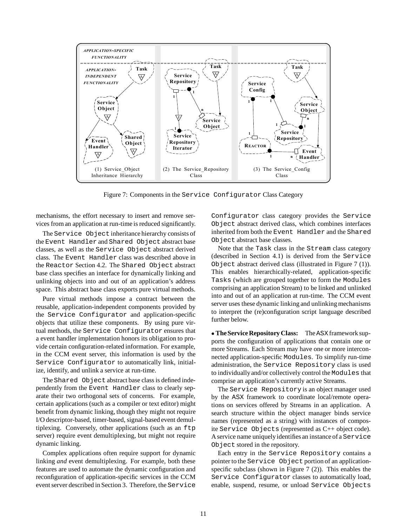

Figure 7: Components in the Service Configurator Class Category

mechanisms, the effort necessary to insert and remove services from an application at run-time is reduced significantly.

The Service Object inheritance hierarchy consists of the Event Handler and Shared Object abstract base classes, as well as the Service Object abstract derived class. The Event Handler class was described above in the Reactor Section 4.2. The Shared Object abstract base class specifies an interface for dynamically linking and unlinking objects into and out of an application's address space. This abstract base class exports pure virtual methods.

Pure virtual methods impose a contract between the reusable, application-independent components provided by the Service Configurator and application-specific objects that utilize these components. By using pure virtual methods, the Service Configurator ensures that a event handler implementation honors its obligation to provide certain configuration-related information. For example, in the CCM event server, this information is used by the Service Configurator to automatically link, initialize, identify, and unlink a service at run-time.

The Shared Object abstract base class is defined independently from the Event Handler class to clearly separate their two orthogonal sets of concerns. For example, certain applications (such as a compiler or text editor) might benefit from dynamic linking, though they might not require I/O descriptor-based, timer-based, signal-based event demultiplexing. Conversely, other applications (such as an ftp server) require event demultiplexing, but might not require dynamic linking.

Complex applications often require support for dynamic linking *and* event demultiplexing. For example, both these features are used to automate the dynamic configuration and reconfiguration of application-specific services in the CCM event server described in Section 3. Therefore, the Service

Configurator class category provides the Service Object abstract derived class, which combines interfaces inherited from both the Event Handler and the Shared Object abstract base classes.

Note that the Task class in the Stream class category (described in Section 4.1) is derived from the Service Object abstract derived class (illustrated in Figure 7 (1)). This enables hierarchically-related, application-specific Tasks (which are grouped together to form the Modules comprising an application Stream) to be linked and unlinked into and out of an application at run-time. The CCM event server uses these dynamic linking and unlinking mechanisms to interpret the (re)configuration script language described further below.

**• The Service Repository Class:** The ASX framework supports the configuration of applications that contain one or more Streams. Each Stream may have one or more interconnected application-specific Modules. To simplify run-time administration, the Service Repository class is used to individuallyand/or collectively control the Modules that comprise an application's currently active Streams.

The Service Repository is an object manager used by the ASX framework to coordinate local/remote operations on services offered by Streams in an application. A search structure within the object manager binds service names (represented as a string) with instances of composite Service Objects (represented as C++ object code). A service name uniquelyidentifies an instance of a Service Object stored in the repository.

Each entry in the Service Repository contains a pointer to the Service Object portion of an applicationspecific subclass (shown in Figure 7 (2)). This enables the Service Configurator classes to automatically load, enable, suspend, resume, or unload Service Objects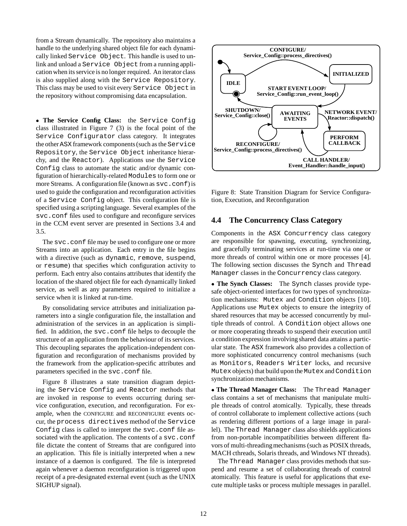from a Stream dynamically. The repository also maintains a handle to the underlying shared object file for each dynamically linked Service Object. This handle is used to unlink and unload a Service Object from a running application when its service is no longer required. An iterator class is also supplied along with the Service Repository. This class may be used to visit every Service Object in the repository without compromising data encapsulation.

 **The Service Config Class:** the Service Config class illustrated in Figure 7 (3) is the focal point of the Service Configurator class category. It integrates the other ASX framework components (such as the Service Repository, the Service Object inheritance hierarchy, and the Reactor). Applications use the Service Config class to automate the static and/or dynamic configuration of hierarchically-related Modules to form one or more Streams. A configuration file (known as svc.conf) is used to guide the configuration and reconfiguration activities of a Service Config object. This configuration file is specified using a scripting language. Several examples of the svc.conf files used to configure and reconfigure services in the CCM event server are presented in Sections 3.4 and 3.5.

The svc.confile may be used to configure one or more Streams into an application. Each entry in the file begins with a directive (such as dynamic, remove, suspend, or resume) that specifies which configuration activity to perform. Each entry also contains attributes that identify the location of the shared object file for each dynamically linked service, as well as any parameters required to initialize a service when it is linked at run-time.

By consolidating service attributes and initialization parameters into a single configuration file, the installation and administration of the services in an application is simplified. In addition, the svc.conf file helps to decouple the structure of an application from the behaviour of its services. This decoupling separates the application-independent configuration and reconfiguration of mechanisms provided by the framework from the application-specific attributes and parameters specified in the svc.conf file.

Figure 8 illustrates a state transition diagram depicting the Service Config and Reactor methods that are invoked in response to events occurring during service configuration, execution, and reconfiguration. For example, when the CONFIGURE and RECONFIGURE events occur, the process directives method of the Service Config class is called to interpret the svc.conf file associated with the application. The contents of a svc.conf file dictate the content of Streams that are configured into an application. This file is initially interpreted when a new instance of a daemon is configured. The file is interpreted again whenever a daemon reconfiguration is triggered upon receipt of a pre-designated external event (such as the UNIX SIGHUP signal).



Figure 8: State Transition Diagram for Service Configuration, Execution, and Reconfiguration

#### **4.4 The Concurrency Class Category**

Components in the ASX Concurrency class category are responsible for spawning, executing, synchronizing, and gracefully terminating services at run-time via one or more threads of control within one or more processes [4]. The following section discusses the Synch and Thread Manager classes in the Concurrency class category.

 **The Synch Classes:** The Synch classes provide typesafe object-oriented interfaces for two types of synchronization mechanisms: Mutex and Condition objects [10]. Applications use Mutex objects to ensure the integrity of shared resources that may be accessed concurrently by multiple threads of control. A Condition object allows one or more cooperating threads to suspend their execution until a condition expression involving shared data attains a particular state. The ASX framework also provides a collection of more sophisticated concurrency control mechanisms (such as Monitors, Readers Writer locks, and recursive Mutex objects) that build upon the Mutex and Condition synchronization mechanisms.

 **The Thread Manager Class:** The Thread Manager class contains a set of mechanisms that manipulate multiple threads of control atomically. Typically, these threads of control collaborate to implement collective actions (such as rendering different portions of a large image in parallel). The Thread Manager class also shields applications from non-portable incompatibilities between different flavors of multi-threading mechanisms (such as POSIX threads, MACH cthreads, Solaris threads, and Windows NT threads).

The Thread Manager class provides methods that suspend and resume a set of collaborating threads of control atomically. This feature is useful for applications that execute multiple tasks or process multiple messages in parallel.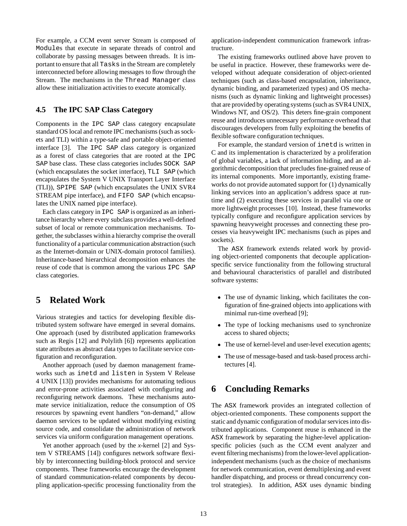For example, a CCM event server Stream is composed of Modules that execute in separate threads of control and collaborate by passing messages between threads. It is important to ensure that all Tasks in the Stream are completely interconnected before allowing messages to flow through the Stream. The mechanisms in the Thread Manager class allow these initialization activities to execute atomically.

### **4.5 The IPC SAP Class Category**

Components in the IPC SAP class category encapsulate standard OS local and remote IPC mechanisms (such as sockets and TLI) within a type-safe and portable object-oriented interface [3]. The IPC SAP class category is organized as a forest of class categories that are rooted at the IPC SAP base class. These class categories includes SOCK SAP (which encapsulates the socket interface), TLI SAP (which encapsulates the System V UNIX Transport Layer Interface (TLI)), SPIPE SAP (which encapsulates the UNIX SVR4 STREAM pipe interface), and FIFO SAP (which encapsulates the UNIX named pipe interface).

Each class category in IPC SAP is organized as an inheritance hierarchy where every subclass provides a well-defined subset of local or remote communication mechanisms. Together, the subclasses within a hierarchy comprise the overall functionalityof a particular communication abstraction (such as the Internet-domain or UNIX-domain protocol families). Inheritance-based hierarchical decomposition enhances the reuse of code that is common among the various IPC SAP class categories.

# **5 Related Work**

Various strategies and tactics for developing flexible distributed system software have emerged in several domains. One approach (used by distributed application frameworks such as Regis [12] and Polylith [6]) represents application state attributes as abstract data types to facilitate service configuration and reconfiguration.

Another approach (used by daemon management frameworks such as inetd and listen in System V Release 4 UNIX [13]) provides mechanisms for automating tedious and error-prone activities associated with configuring and reconfiguring network daemons. These mechanisms automate service initialization, reduce the consumption of OS resources by spawning event handlers "on-demand," allow daemon services to be updated without modifying existing source code, and consolidate the administration of network services via uniform configuration management operations.

Yet another approach (used by the *x*-kernel [2] and System V STREAMS [14]) configures network software flexibly by interconnecting building-block protocol and service components. These frameworks encourage the development of standard communication-related components by decoupling application-specific processing functionality from the application-independent communication framework infrastructure.

The existing frameworks outlined above have proven to be useful in practice. However, these frameworks were developed without adequate consideration of object-oriented techniques (such as class-based encapsulation, inheritance, dynamic binding, and parameterized types) and OS mechanisms (such as dynamic linking and lightweight processes) that are provided by operating systems (such as SVR4 UNIX, Windows NT, and OS/2). This deters fine-grain component reuse and introduces unnecessary performance overhead that discourages developers from fully exploiting the benefits of flexible software configuration techniques.

For example, the standard version of inetd is written in C and its implementation is characterized by a proliferation of global variables, a lack of information hiding, and an algorithmic decomposition that precludes fine-grained reuse of its internal components. More importantly, existing frameworks do not provide automated support for (1) dynamically linking services into an application's address space at runtime and (2) executing these services in parallel via one or more lightweight processes [10]. Instead, these frameworks typically configure and reconfigure application services by spawning heavyweight processes and connecting these processes via heavyweight IPC mechanisms (such as pipes and sockets).

The ASX framework extends related work by providing object-oriented components that decouple applicationspecific service functionality from the following structural and behavioural characteristics of parallel and distributed software systems:

- The use of dynamic linking, which facilitates the configuration of fine-grained objects into applications with minimal run-time overhead [9];
- The type of locking mechanisms used to synchronize access to shared objects;
- The use of kernel-level and user-level execution agents;
- The use of message-based and task-based process architectures [4].

# **6 Concluding Remarks**

The ASX framework provides an integrated collection of object-oriented components. These components support the static and dynamic configuration of modular services into distributed applications. Component reuse is enhanced in the ASX framework by separating the higher-level applicationspecific policies (such as the CCM event analyzer and event filtering mechanisms) from the lower-level applicationindependent mechanisms (such as the choice of mechanisms for network communication, event demultiplexing and event handler dispatching, and process or thread concurrency control strategies). In addition, ASX uses dynamic binding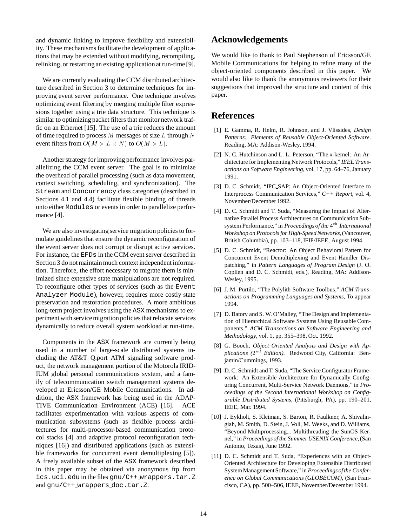and dynamic linking to improve flexibility and extensibility. These mechanisms facilitate the development of applications that may be extended without modifying, recompiling, relinking, or restarting an existing application at run-time [9].

We are currently evaluating the CCM distributed architecture described in Section 3 to determine techniques for improving event server performance. One technique involves optimizing event filtering by merging multiple filter expressions together using a trie data structure. This technique is similar to optimizing packet filters that monitor network traffic on an Ethernet [15]. The use of a trie reduces the amount of time required to process  $M$  messages of size  $L$  through  $N$ event filters from  $O(M \times L \times N)$  to  $O(M \times L)$ .

Another strategy for improving performance involves parallelizing the CCM event server. The goal is to minimize the overhead of parallel processing (such as data movement, context switching, scheduling, and synchronization). The Stream and Concurrency class categories (described in Sections 4.1 and 4.4) facilitate flexible binding of threads onto either Modules or events in order to parallelize performance [4].

We are also investigating service migration policies to formulate guidelines that ensure the dynamic reconfiguration of the event server does not corrupt or disrupt active services. For instance, the EFDs in the CCM event server described in Section 3 do not maintain much context independent information. Therefore, the effort necessary to migrate them is minimized since extensive state manipulations are not required. To reconfigure other types of services (such as the Event Analyzer Module), however, requires more costly state preservation and restoration procedures. A more ambitious long-term project involves using the ASX mechanisms to experiment with service migration policies that relocate services dynamically to reduce overall system workload at run-time.

Components in the ASX framework are currently being used in a number of large-scale distributed systems including the AT&T Q.port ATM signaling software product, the network management portion of the Motorola IRID-IUM global personal communications system, and a family of telecommunication switch management systems developed at Ericsson/GE Mobile Communications. In addition, the ASX framework has being used in the ADAP-TIVE Communication Environment (ACE) [16]. ACE facilitates experimentation with various aspects of communication subsystems (such as flexible process architectures for multi-processor-based communication protocol stacks [4] and adaptive protocol reconfiguration techniques [16]) and distributed applications (such as extensible frameworks for concurrent event demultiplexing [5]). A freely available subset of the ASX framework described in this paper may be obtained via anonymous ftp from ics.uci.edu in the files gnu/C++ wrappers.tar.Z and gnu/C++ wrappers doc.tar.Z.

## **Acknowledgements**

We would like to thank to Paul Stephenson of Ericsson/GE Mobile Communications for helping to refine many of the object-oriented components described in this paper. We would also like to thank the anonymous reviewers for their suggestions that improved the structure and content of this paper.

## **References**

- [1] E. Gamma, R. Helm, R. Johnson, and J. Vlissides, *Design Patterns: Elements of Reusable Object-Oriented Software*. Reading, MA: Addison-Wesley, 1994.
- [2] N. C. Hutchinson and L. L. Peterson, "The *x*-kernel: An Architecture for Implementing Network Protocols," *IEEE Transactions on Software Engineering*, vol. 17, pp. 64–76, January 1991.
- [3] D. C. Schmidt, "IPC\_SAP: An Object-Oriented Interface to Interprocess Communication Services," *C++ Report*, vol. 4, November/December 1992.
- [4] D. C. Schmidt and T. Suda, "Measuring the Impact of Alternative Parallel Process Architectures on Communication Subsystem Performance," in *Proceedings of the* 4th *International Workshop on Protocols for High-Speed Networks*,(Vancouver, British Columbia), pp. 103–118, IFIP/IEEE, August 1994.
- [5] D. C. Schmidt, "Reactor: An Object Behavioral Pattern for Concurrent Event Demultiplexing and Event Handler Dispatching," in *Pattern Languages of Program Design* (J. O. Coplien and D. C. Schmidt, eds.), Reading, MA: Addison-Wesley, 1995.
- [6] J. M. Purtilo, "The Polylith Software Toolbus," *ACM Transactions on Programming Languages and Systems*, To appear 1994.
- [7] D. Batory and S. W. O'Malley, "The Design and Implementation of Hierarchical Software Systems Using Reusable Components," *ACM Transactions on Software Engineering and Methodology*, vol. 1, pp. 355–398, Oct. 1992.
- [8] G. Booch, *Object Oriented Analysis and Design with Applications (*2nd *Edition)*. Redwood City, California: Benjamin/Cummings, 1993.
- [9] D. C. Schmidt and T. Suda, "The Service Configurator Framework: An Extensible Architecture for Dynamically Configuring Concurrent, Multi-Service Network Daemons," in *Proceedings of the Second International Workshop on Configurable Distributed Systems*, (Pittsburgh, PA), pp. 190–201, IEEE, Mar. 1994.
- [10] J. Eykholt, S. Kleiman, S. Barton, R. Faulkner, A. Shivalingiah, M. Smith, D. Stein, J. Voll, M. Weeks, and D. Williams, "Beyond Multiprocessing... Multithreading the SunOS Kernel," in *Proceedingsof the Summer USENIX Conference*,(San Antonio, Texas), June 1992.
- [11] D. C. Schmidt and T. Suda, "Experiences with an Object-Oriented Architecture for Developing Extensible Distributed System ManagementSoftware," in *Proceedingsof the Conference on Global Communications (GLOBECOM)*, (San Francisco, CA), pp. 500–506, IEEE, November/December 1994.